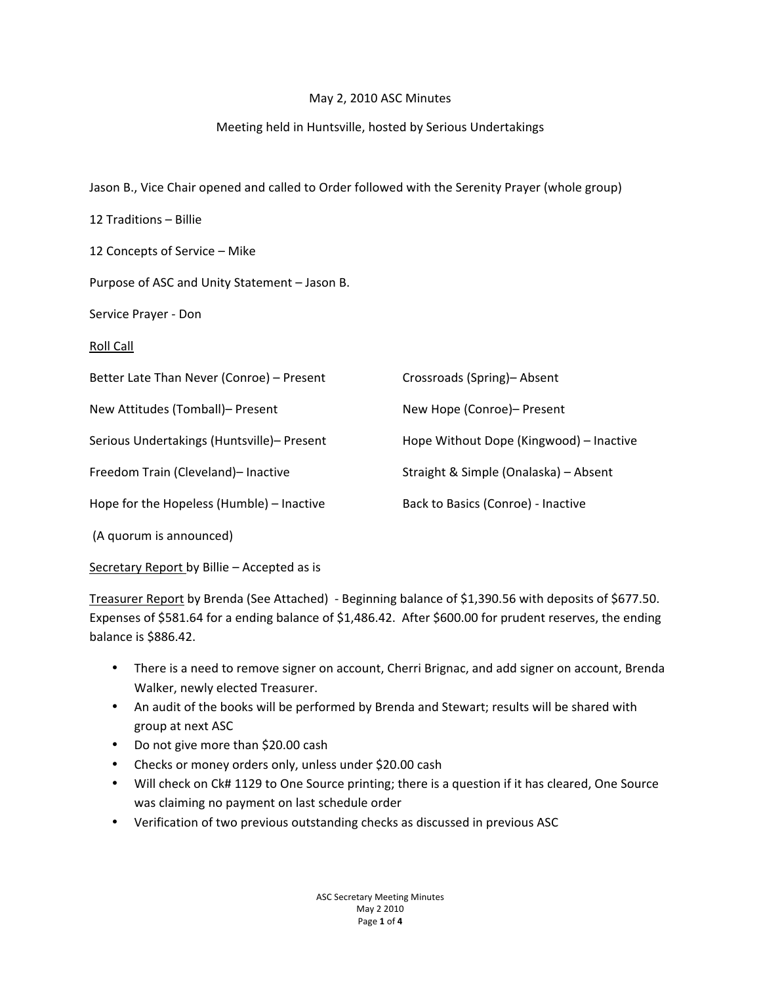## May 2, 2010 ASC Minutes

# Meeting held in Huntsville, hosted by Serious Undertakings

| Jason B., Vice Chair opened and called to Order followed with the Serenity Prayer (whole group) |  |  |
|-------------------------------------------------------------------------------------------------|--|--|
|                                                                                                 |  |  |

| 12 Traditions - Billie                        |                                         |
|-----------------------------------------------|-----------------------------------------|
| 12 Concepts of Service - Mike                 |                                         |
| Purpose of ASC and Unity Statement - Jason B. |                                         |
| Service Prayer - Don                          |                                         |
| Roll Call                                     |                                         |
| Better Late Than Never (Conroe) - Present     | Crossroads (Spring)- Absent             |
| New Attitudes (Tomball)- Present              | New Hope (Conroe)- Present              |
| Serious Undertakings (Huntsville)- Present    | Hope Without Dope (Kingwood) - Inactive |
| Freedom Train (Cleveland)- Inactive           | Straight & Simple (Onalaska) - Absent   |
| Hope for the Hopeless (Humble) - Inactive     | Back to Basics (Conroe) - Inactive      |
| (A quorum is announced)                       |                                         |

Secretary Report by Billie – Accepted as is

Treasurer Report by Brenda (See Attached) - Beginning balance of \$1,390.56 with deposits of \$677.50. Expenses of \$581.64 for a ending balance of \$1,486.42. After \$600.00 for prudent reserves, the ending balance is \$886.42.

- There is a need to remove signer on account, Cherri Brignac, and add signer on account, Brenda Walker, newly elected Treasurer.
- An audit of the books will be performed by Brenda and Stewart; results will be shared with group at next ASC
- Do not give more than \$20.00 cash
- Checks or money orders only, unless under \$20.00 cash
- Will check on Ck# 1129 to One Source printing; there is a question if it has cleared, One Source was claiming no payment on last schedule order
- Verification of two previous outstanding checks as discussed in previous ASC

ASC Secretary Meeting Minutes May 2 2010 Page!**1**!of!**4**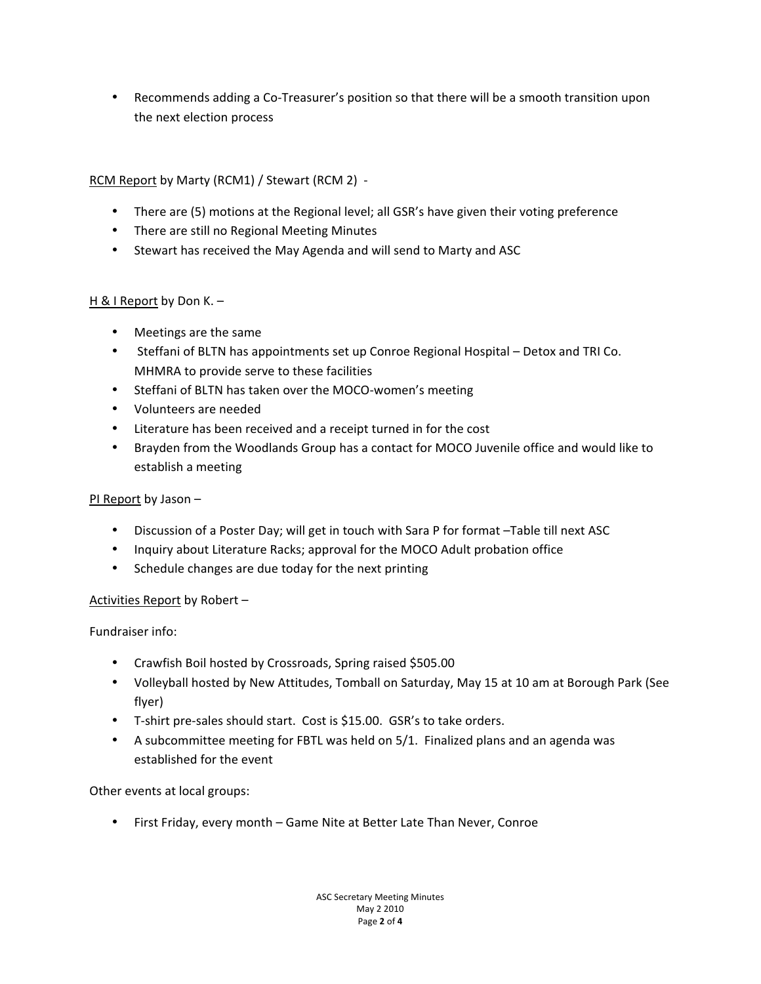• Recommends adding a Co-Treasurer's position so that there will be a smooth transition upon the next election process

RCM Report by Marty (RCM1) / Stewart (RCM 2) -

- There are (5) motions at the Regional level; all GSR's have given their voting preference
- There are still no Regional Meeting Minutes
- Stewart has received the May Agenda and will send to Marty and ASC

## H & I Report by Don K. –

- Meetings are the same
- Steffani of BLTN has appointments set up Conroe Regional Hospital Detox and TRI Co. MHMRA to provide serve to these facilities
- Steffani of BLTN has taken over the MOCO-women's meeting
- Volunteers are needed
- Literature has been received and a receipt turned in for the cost
- Brayden from the Woodlands Group has a contact for MOCO Juvenile office and would like to establish a meeting

# PI Report by Jason -

- Discussion of a Poster Day; will get in touch with Sara P for format –Table till next ASC
- Inquiry about Literature Racks; approval for the MOCO Adult probation office
- Schedule changes are due today for the next printing

# Activities Report by Robert -

Fundraiser info:

- Crawfish Boil hosted by Crossroads, Spring raised \$505.00
- Volleyball hosted by New Attitudes, Tomball on Saturday, May 15 at 10 am at Borough Park (See flyer)
- T-shirt pre-sales should start. Cost is \$15.00. GSR's to take orders.
- A subcommittee meeting for FBTL was held on 5/1. Finalized plans and an agenda was established for the event

Other events at local groups:

• First Friday, every month – Game Nite at Better Late Than Never, Conroe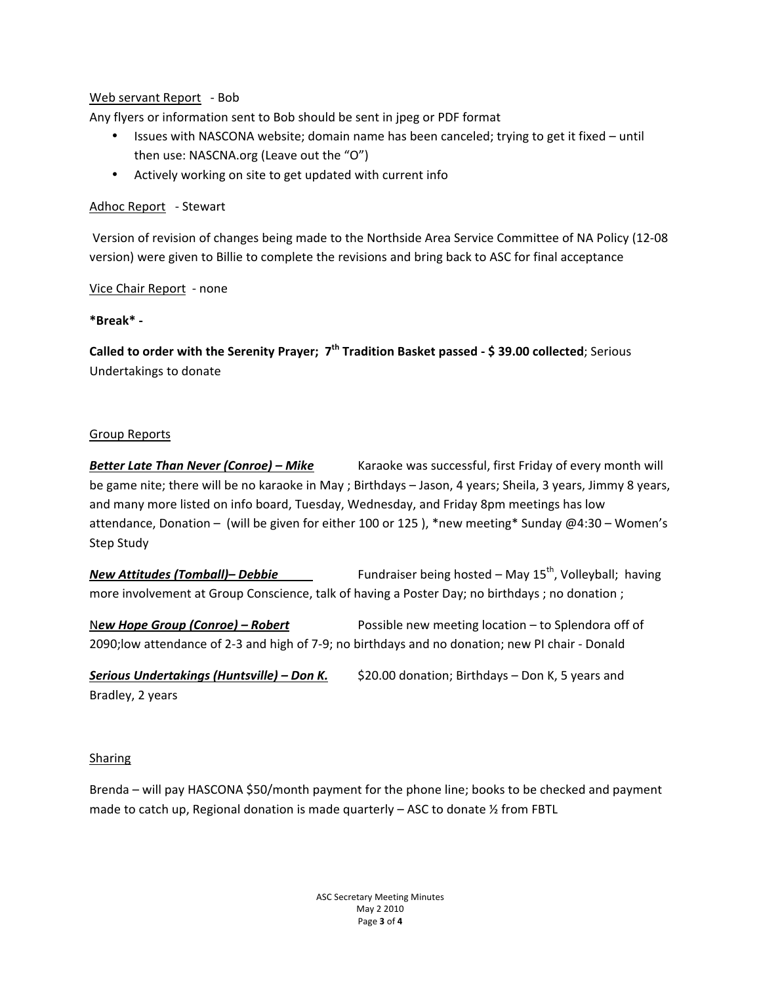## Web servant Report - Bob

Any flyers or information sent to Bob should be sent in jpeg or PDF format

- Issues with NASCONA website; domain name has been canceled; trying to get it fixed until then use: NASCNA.org (Leave out the "O")
- Actively working on site to get updated with current info

### Adhoc Report - Stewart

Version of revision of changes being made to the Northside Area Service Committee of NA Policy (12-08 version) were given to Billie to complete the revisions and bring back to ASC for final acceptance

Vice Chair Report - none

### **\*Break\*+,**

**Called to order with the Serenity Prayer; 7<sup>th</sup> Tradition Basket passed - \$39.00 collected; Serious** Undertakings to donate

### Group Reports

**Better Late Than Never (Conroe) – Mike** Karaoke was successful, first Friday of every month will be game nite; there will be no karaoke in May ; Birthdays – Jason, 4 years; Sheila, 3 years, Jimmy 8 years, and many more listed on info board, Tuesday, Wednesday, and Friday 8pm meetings has low attendance, Donation – (will be given for either 100 or 125), \*new meeting\* Sunday @4:30 – Women's Step Study

**New Attitudes (Tomball)– Debbie** Fundraiser being hosted – May 15<sup>th</sup>, Volleyball; having more involvement at Group Conscience, talk of having a Poster Day; no birthdays ; no donation ;

New Hope Group (Conroe) – Robert **Possible new meeting location** – to Splendora off of 2090;low attendance of 2-3 and high of 7-9; no birthdays and no donation; new PI chair - Donald

**Serious Undertakings (Huntsville) – Don K.** \$20.00 donation; Birthdays – Don K, 5 years and Bradley, 2 years

#### **Sharing**

Brenda – will pay HASCONA \$50/month payment for the phone line; books to be checked and payment made to catch up, Regional donation is made quarterly – ASC to donate  $\frac{1}{2}$  from FBTL